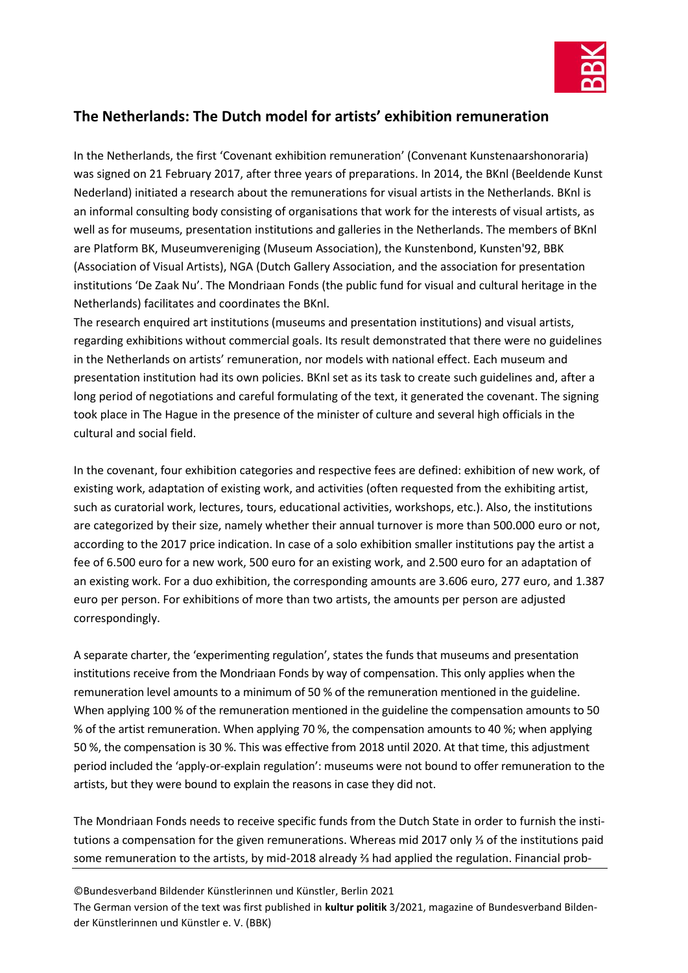

## **The Netherlands: The Dutch model for artists' exhibition remuneration**

In the Netherlands, the first 'Covenant exhibition remuneration' (Convenant Kunstenaarshonoraria) was signed on 21 February 2017, after three years of preparations. In 2014, the BKnl (Beeldende Kunst Nederland) initiated a research about the remunerations for visual artists in the Netherlands. BKnl is an informal consulting body consisting of organisations that work for the interests of visual artists, as well as for museums, presentation institutions and galleries in the Netherlands. The members of BKnl are Platform BK, Museumvereniging (Museum Association), the Kunstenbond, Kunsten'92, BBK (Association of Visual Artists), NGA (Dutch Gallery Association, and the association for presentation institutions 'De Zaak Nu'. The Mondriaan Fonds (the public fund for visual and cultural heritage in the Netherlands) facilitates and coordinates the BKnl.

The research enquired art institutions (museums and presentation institutions) and visual artists, regarding exhibitions without commercial goals. Its result demonstrated that there were no guidelines in the Netherlands on artists' remuneration, nor models with national effect. Each museum and presentation institution had its own policies. BKnl set as its task to create such guidelines and, after a long period of negotiations and careful formulating of the text, it generated the covenant. The signing took place in The Hague in the presence of the minister of culture and several high officials in the cultural and social field.

In the covenant, four exhibition categories and respective fees are defined: exhibition of new work, of existing work, adaptation of existing work, and activities (often requested from the exhibiting artist, such as curatorial work, lectures, tours, educational activities, workshops, etc.). Also, the institutions are categorized by their size, namely whether their annual turnover is more than 500.000 euro or not, according to the 2017 price indication. In case of a solo exhibition smaller institutions pay the artist a fee of 6.500 euro for a new work, 500 euro for an existing work, and 2.500 euro for an adaptation of an existing work. For a duo exhibition, the corresponding amounts are 3.606 euro, 277 euro, and 1.387 euro per person. For exhibitions of more than two artists, the amounts per person are adjusted correspondingly.

A separate charter, the 'experimenting regulation', states the funds that museums and presentation institutions receive from the Mondriaan Fonds by way of compensation. This only applies when the remuneration level amounts to a minimum of 50 % of the remuneration mentioned in the guideline. When applying 100 % of the remuneration mentioned in the guideline the compensation amounts to 50 % of the artist remuneration. When applying 70 %, the compensation amounts to 40 %; when applying 50 %, the compensation is 30 %. This was effective from 2018 until 2020. At that time, this adjustment period included the 'apply-or-explain regulation': museums were not bound to offer remuneration to the artists, but they were bound to explain the reasons in case they did not.

The Mondriaan Fonds needs to receive specific funds from the Dutch State in order to furnish the institutions a compensation for the given remunerations. Whereas mid 2017 only ¼ of the institutions paid some remuneration to the artists, by mid-2018 already <sup>3</sup> had applied the regulation. Financial prob-

©Bundesverband Bildender Künstlerinnen und Künstler, Berlin 2021 The German version of the text was first published in **kultur politik** 3/2021, magazine of Bundesverband Bildender Künstlerinnen und Künstler e. V. (BBK)